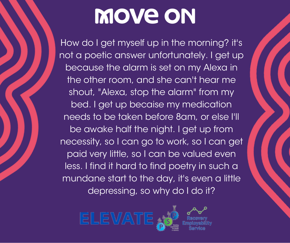How do I get myself up in the morning? it's not a poetic answer unfortunately. I get up because the alarm is set on my Alexa in the other room, and she can't hear me shout, "Alexa, stop the alarm" from my bed. I get up becaise my medication needs to be taken before 8am, or else I'll be awake half the night. I get up from necessity, so I can go to work, so I can get paid very little, so I can be valued even less. I find it hard to find poetry in such a mundane start to the day, it's even a little depressing, so why do I do it?

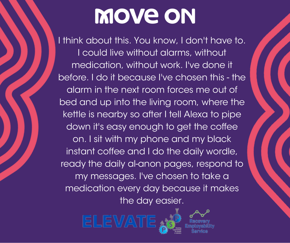I think about this. You know, I don't have to. I could live without alarms, without medication, without work. I've done it before. I do it because I've chosen this - the alarm in the next room forces me out of bed and up into the living room, where the kettle is nearby so after I tell Alexa to pipe down it's easy enough to get the coffee on. I sit with my phone and my black instant coffee and I do the daily wordle, ready the daily al-anon pages, respond to my messages. I've chosen to take a medication every day because it makes the day easier.

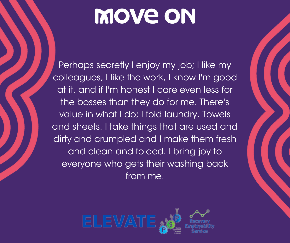Perhaps secretly I enjoy my job; I like my colleagues, I like the work, I know I'm good at it, and if I'm honest I care even less for the bosses than they do for me. There's value in what I do; I fold laundry. Towels and sheets. I take things that are used and dirty and crumpled and I make them fresh and clean and folded. I bring joy to everyone who gets their washing back from me.

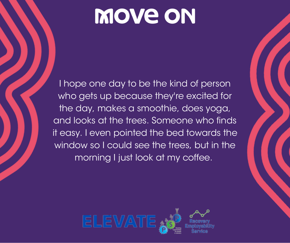I hope one day to be the kind of person who gets up because they're excited for the day, makes a smoothie, does yoga, and looks at the trees. Someone who finds it easy. I even pointed the bed towards the window so I could see the trees, but in the morning I just look at my coffee.

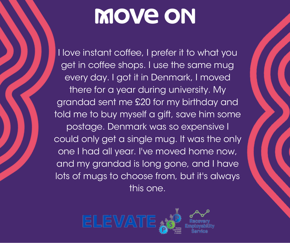I love instant coffee, I prefer it to what you get in coffee shops. I use the same mug every day. I got it in Denmark, I moved there for a year during university. My grandad sent me £20 for my birthday and told me to buy myself a gift, save him some postage. Denmark was so expensive I could only get a single mug. It was the only one I had all year. I've moved home now, and my grandad is long gone, and I have lots of mugs to choose from, but it's always this one.